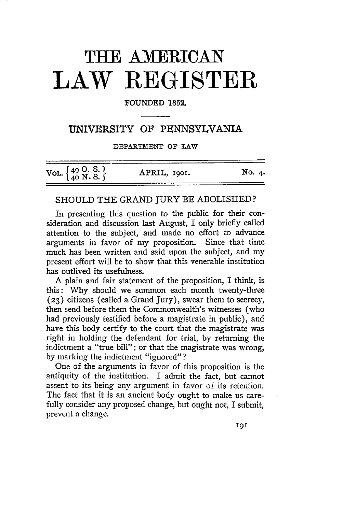# **THIE AMERICAN LAW REGISTER**

### FOUNDED 1852.

## **UNIVERSITY OF PENNSYLVANIA**

DEPARTMENT **OV** LAW

| VOL. $\left\{\begin{matrix} 49 & O. \text{ S.} \\ 40 & N. \text{ S.} \end{matrix}\right\}$ | APRIL, 1901. | No. 4. |
|--------------------------------------------------------------------------------------------|--------------|--------|

## SHOULD THE **GRAND** JURY BE ABOLISHED?

In presenting this question to the public for their consideration and discussion last August, I only briefly called attention to the subject, and made no effort to advance arguments in favor of my proposition. Since that time much has been written and said upon the subject, and my present effort will be to show that this venerable institution has outlived its usefulness.

A plain and fair statement of the proposition, I think, is this: Why should we summon each month twenty-three **(23)** citizens (called a Grand Jury), swear them to secrecy, then send before them the Commonwealth's witnesses (who had previously testified before a magistrate in public), and have this body certify to the court that the magistrate was right in holding the defendant for trial, by returning the indictment a "true bill"; or that the magistrate was wrong, by marking the indictment "ignored"?

One of the arguments in favor of this proposition is the antiquity of the institution. I admit the fact, but cannot assent to its being any argument in favor of its retention. The fact that it is an ancient body ought to make us carefully consider any proposed change, but ought not, I submit, prevent a change.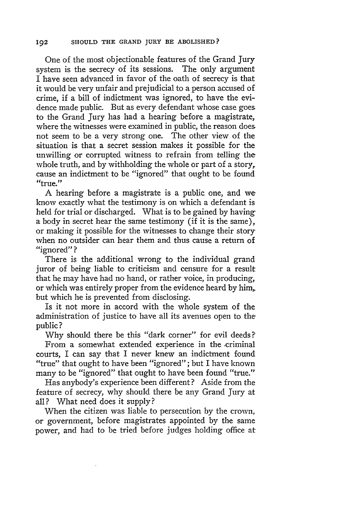One of the most objectionable features of the Grand Jury system is the secrecy of its sessions. The only argument I have seen advanced in favor of the oath of secrecy is that it would be very unfair and prejudicial to a person accused of crime, if a bill of indictment was ignored, to have the evidence made public. But as every defendant whose case goes to the Grand Jury has had a hearing before a magistrate, where the witnesses were examined in public, the reason does not seem to be a very strong one. The other view of the situation is that a secret session makes it possible for the unwilling or corrupted witness to refrain from telling the whole truth, and by withholding the whole or part of a story, cause an indictment to be "ignored" that ought to be found "true."

A hearing before a magistrate is a public one, and we know exactly what the testimony is on which a defendant is held for trial or discharged. What is to be gained **by** having a body in secret hear the same testimony (if it is the same), or making it possible for the witnesses to change their story when no outsider can hear them and thus cause a return of "ignored" **?**

There is the additional wrong to the individual grand juror of being liable to criticism and censure for a result that he may have had no hand, or rather voice, in producing, or which was entirely proper from the evidence heard by him, but which he is prevented from disclosing.

Is it not more in accord with the whole system of the administration of justice to have all its avenues open to the public?

Why should there be this "dark corner" for evil deeds? From a somewhat extended experience in the .criminal courts, I can say that I never knew an indictment found "true" that ought to have been "ignored"; but I have known many to be "ignored" that ought to have been found "true."

Has anybody's experience been different? Aside from the feature of secrecy, why should there be any Grand Jury at all? What need does it supply?

When the citizen was liable to persecution by the crown, or government, before magistrates appointed by the same power, and had to be tried before judges holding office at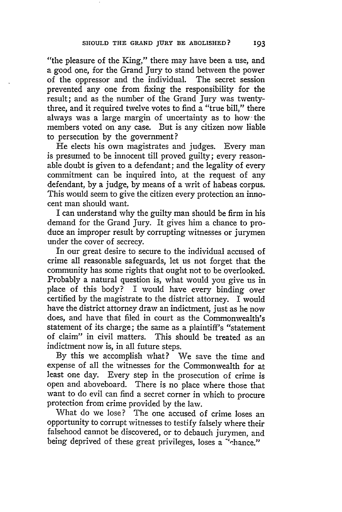"the pleasure of the King," there may have been a use, and a good one, for the Grand Jury to stand between the power of the oppressor and the individual. The secret session prevented any one from fixing the responsibility for the result; and as the number of the Grand Jury was twentythree, and it required twelve votes to find a "true bill," there always was a large margin of uncertainty as to how the members voted on any case. But is any citizen now liable to persecution by the government?

He elects his own magistrates and judges. Every man is presumed to be innocent till proved guilty; every reasonable doubt is given to a defendant; and the legality of every commitment can be inquired into, at the request of any defendant, by a judge, by means of a writ of habeas corpus. This would seem to give the citizen every protection an innocent man should want.

I can understand why the guilty man should be firm in his demand for the Grand Jury. It gives him a chance to produce an improper result by corrupting witnesses or jurymen under the cover of secrecy.

In our great desire to secure to the individual accused of crime all reasonable safeguards, let us not forget that the community has some rights that ought not to be overlooked. Probably a natural question is, what would you give us in place of this body? I would have every binding over certified by the magistrate to the district attorney. I would have the district attorney draw an indictment, just as he now does, and have that filed in court as the Commonwealth's statement of its charge; the same as a plaintiff's "statement of claim" in civil matters. This should be treated as an indictment now is, in all future steps.

By this we accomplish what? We save the time and expense of all the witnesses for the Commonwealth for at least one day. Every step in the prosecution of crime is open and aboveboard. There is no place where those that want to do evil can find a secret corner in which to procure protection from crime provided by the law.

What do we lose? The one accused of crime loses an opportunity to corrupt witnesses to testify falsely where their falsehood cannot be discovered, or to debauch jurymen, and being deprived of these great privileges, loses a "chance."